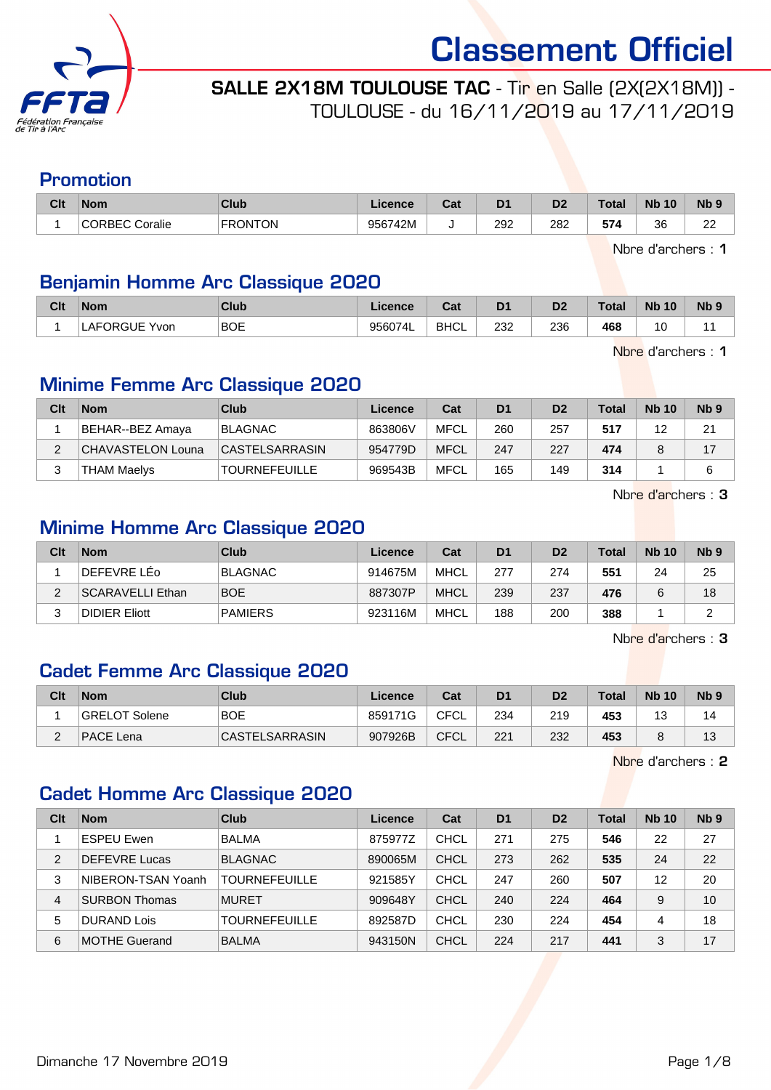

SALLE 2X18M TOULOUSE TAC - Tir en Salle (2X(2X18M)) - TOULOUSE - du 16/11/2019 au 17/11/2019

#### Promotion

| Clt | <b>Nom</b>               | Club           | Licence | $R_{\rm eff}$<br>ual | D <sub>1</sub> | D <sub>2</sub> | <b>Total</b> | <b>N<sub>b</sub></b><br>10 | <b>N<sub>b</sub></b> |
|-----|--------------------------|----------------|---------|----------------------|----------------|----------------|--------------|----------------------------|----------------------|
|     | <b>CORBEC</b><br>Coralie | <b>FRONTON</b> | 956742M |                      | 292            | 282            | 574          | 36                         | $\sim$<br><u>__</u>  |

Nbre d'archers : 1

#### Benjamin Homme Arc Classique 2020

| Clt | <b>Nom</b>    | Club       | <b>Licence</b> | <b>Cost</b><br>val | D <sub>1</sub> | D <sub>2</sub> | <b>Total</b> | <b>Nb</b><br>10   | N <sub>b</sub> |
|-----|---------------|------------|----------------|--------------------|----------------|----------------|--------------|-------------------|----------------|
|     | LAFORGUE Yvon | <b>BOE</b> | 956074L        | <b>BHCL</b>        | 232<br>$\sim$  | 236<br>__      | 468          | 10<br>ັ<br>$\sim$ |                |

Nbre d'archers : 1

#### Minime Femme Arc Classique 2020

| Clt | <b>Nom</b>               | Club                  | Licence | Cat         | D <sub>1</sub> | D <sub>2</sub> | Total | <b>Nb 10</b> | Nb <sub>9</sub> |
|-----|--------------------------|-----------------------|---------|-------------|----------------|----------------|-------|--------------|-----------------|
|     | BEHAR--BEZ Amaya         | <b>BLAGNAC</b>        | 863806V | <b>MFCL</b> | 260            | 257            | 517   | 12           | 21              |
| C   | <b>CHAVASTELON Louna</b> | <b>CASTELSARRASIN</b> | 954779D | <b>MFCL</b> | 247            | 227            | 474   |              | 17              |
|     | <b>THAM Maelys</b>       | <b>TOURNEFEUILLE</b>  | 969543B | MFCL        | 165            | 149            | 314   |              |                 |

Nbre d'archers : 3

### Minime Homme Arc Classique 2020

| Clt | <b>Nom</b>              | Club           | Licence | Cat  | D <sub>1</sub> | D <sub>2</sub> | <b>Total</b> | <b>Nb 10</b> | N <sub>b</sub> <sub>9</sub> |
|-----|-------------------------|----------------|---------|------|----------------|----------------|--------------|--------------|-----------------------------|
|     | DEFEVRE LEo             | <b>BLAGNAC</b> | 914675M | MHCL | 277            | 274            | 551          | 24           | 25                          |
| ົ   | <b>SCARAVELLI Ethan</b> | <b>BOE</b>     | 887307P | MHCL | 239            | 237            | 476          |              | 18                          |
| ◠   | <b>DIDIER Eliott</b>    | <b>PAMIERS</b> | 923116M | MHCL | 188            | 200            | 388          |              |                             |

Nbre d'archers : 3

#### Cadet Femme Arc Classique 2020

| Clt      | <b>Nom</b>    | Club           | Licence | Cat         | D <sub>1</sub> | D2  | Total | <b>Nb 10</b> | Nb <sub>9</sub> |
|----------|---------------|----------------|---------|-------------|----------------|-----|-------|--------------|-----------------|
|          | GRELOT Solene | <b>BOE</b>     | 859171G | <b>CFCL</b> | 234            | 219 | 453   | ں ا          | 14              |
| <u>.</u> | PACE Lena     | CASTELSARRASIN | 907926B | CFCL        | 221            | 232 | 453   |              | 13              |

Nbre d'archers : 2

#### Cadet Homme Arc Classique 2020

| Clt | <b>Nom</b>           | Club                 | Licence | Cat         | D <sub>1</sub> | D <sub>2</sub> | Total | <b>Nb 10</b> | Nb <sub>9</sub> |
|-----|----------------------|----------------------|---------|-------------|----------------|----------------|-------|--------------|-----------------|
|     | <b>ESPEU Ewen</b>    | <b>BALMA</b>         | 875977Z | <b>CHCL</b> | 271            | 275            | 546   | 22           | 27              |
| 2   | <b>DEFEVRE Lucas</b> | <b>BLAGNAC</b>       | 890065M | <b>CHCL</b> | 273            | 262            | 535   | 24           | 22              |
| 3   | NIBERON-TSAN Yoanh   | <b>TOURNEFEUILLE</b> | 921585Y | <b>CHCL</b> | 247            | 260            | 507   | 12           | 20              |
| 4   | <b>SURBON Thomas</b> | <b>MURET</b>         | 909648Y | <b>CHCL</b> | 240            | 224            | 464   | 9            | 10              |
| 5   | <b>DURAND Lois</b>   | TOURNEFEUILLE        | 892587D | CHCL        | 230            | 224            | 454   | 4            | 18              |
| 6   | <b>MOTHE Guerand</b> | <b>BALMA</b>         | 943150N | <b>CHCL</b> | 224            | 217            | 441   | 3            | 17              |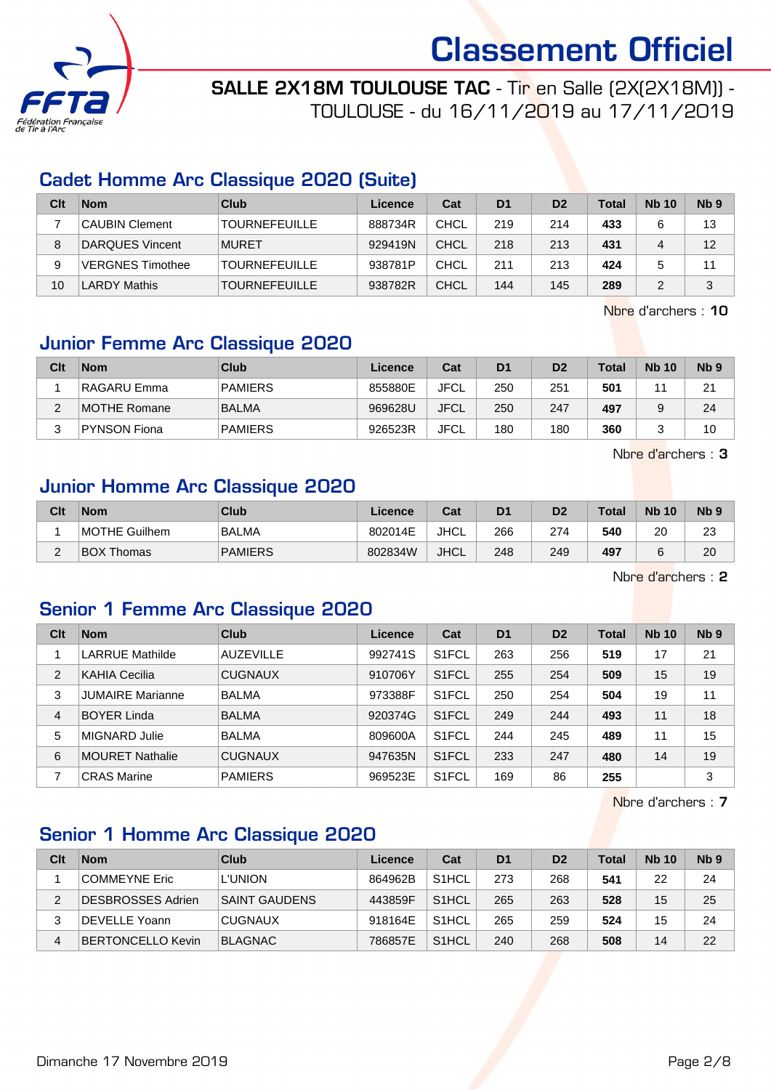

SALLE 2X18M TOULOUSE TAC - Tir en Salle (2X(2X18M)) - TOULOUSE - du 16/11/2019 au 17/11/2019

#### Cadet Homme Arc Classique 2020 (Suite)

| Clt | <b>Nom</b>              | Club                 | Licence | Cat  | D <sub>1</sub> | D <sub>2</sub> | <b>Total</b> | <b>Nb 10</b> | N <sub>b</sub> <sub>9</sub> |
|-----|-------------------------|----------------------|---------|------|----------------|----------------|--------------|--------------|-----------------------------|
|     | <b>CAUBIN Clement</b>   | <b>TOURNEFEUILLE</b> | 888734R | CHCL | 219            | 214            | 433          |              | 13                          |
| 8   | DARQUES Vincent         | <b>MURET</b>         | 929419N | CHCL | 218            | 213            | 431          | 4            | 12                          |
| 9   | <b>VERGNES Timothee</b> | <b>TOURNEFEUILLE</b> | 938781P | CHCL | 211            | 213            | 424          |              | 11                          |
| 10  | <b>LARDY Mathis</b>     | <b>TOURNEFEUILLE</b> | 938782R | CHCL | 144            | 145            | 289          |              | 3                           |

Nbre d'archers : 10

## Junior Femme Arc Classique 2020

| Clt    | <b>Nom</b>         | Club           | Licence | Cat         | D <sub>1</sub> | D <sub>2</sub> | <b>Total</b> | <b>Nb 10</b> | N <sub>b</sub> <sub>9</sub> |
|--------|--------------------|----------------|---------|-------------|----------------|----------------|--------------|--------------|-----------------------------|
|        | <b>RAGARU Emma</b> | <b>PAMIERS</b> | 855880E | JFCL        | 250            | 251            | 501          |              | 21                          |
| $\sim$ | MOTHE Romane       | <b>BALMA</b>   | 969628U | <b>JFCL</b> | 250            | 247            | 497          | a            | 24                          |
| C      | PYNSON Fiona       | <b>PAMIERS</b> | 926523R | JFCL        | 180            | 180            | 360          | ◠<br>ت       | 10                          |

Nbre d'archers : 3

#### Junior Homme Arc Classique 2020

| Clt    | <b>Nom</b>        | Club           | Licence | Cat  | D1  | D2  | <b>Total</b> | <b>Nb 10</b> | N <sub>b</sub> <sub>9</sub> |
|--------|-------------------|----------------|---------|------|-----|-----|--------------|--------------|-----------------------------|
|        | MOTHE Guilhem     | <b>BALMA</b>   | 802014E | JHCL | 266 | 274 | 540          | 20           | 23                          |
| $\sim$ | <b>BOX Thomas</b> | <b>PAMIERS</b> | 802834W | JHCL | 248 | 249 | 497          |              | 20                          |

Nbre d'archers : 2

#### Senior 1 Femme Arc Classique 2020

| Clt            | <b>Nom</b>              | Club             | Licence | Cat                | D <sub>1</sub> | D <sub>2</sub> | <b>Total</b> | <b>Nb 10</b> | N <sub>b</sub> <sub>9</sub> |
|----------------|-------------------------|------------------|---------|--------------------|----------------|----------------|--------------|--------------|-----------------------------|
|                | <b>LARRUE Mathilde</b>  | <b>AUZEVILLE</b> | 992741S | S <sub>1</sub> FCL | 263            | 256            | 519          | 17           | 21                          |
| $\overline{2}$ | KAHIA Cecilia           | <b>CUGNAUX</b>   | 910706Y | S <sub>1</sub> FCL | 255            | 254            | 509          | 15           | 19                          |
| 3              | <b>JUMAIRE Marianne</b> | <b>BALMA</b>     | 973388F | S <sub>1</sub> FCL | 250            | 254            | 504          | 19           | 11                          |
| $\overline{4}$ | <b>BOYER Linda</b>      | <b>BALMA</b>     | 920374G | S <sub>1</sub> FCL | 249            | 244            | 493          | 11           | 18                          |
| 5              | MIGNARD Julie           | <b>BALMA</b>     | 809600A | S <sub>1</sub> FCL | 244            | 245            | 489          | 11           | 15                          |
| 6              | <b>MOURET Nathalie</b>  | <b>CUGNAUX</b>   | 947635N | S <sub>1</sub> FCL | 233            | 247            | 480          | 14           | 19                          |
|                | <b>CRAS Marine</b>      | <b>PAMIERS</b>   | 969523E | S <sub>1</sub> FCL | 169            | 86             | 255          |              | 3                           |

Nbre d'archers : 7

## Senior 1 Homme Arc Classique 2020

| Clt | <b>Nom</b>               | Club                 | Licence | Cat                | D <sub>1</sub> | D <sub>2</sub> | <b>Total</b> | <b>Nb 10</b> | N <sub>b</sub> <sub>9</sub> |
|-----|--------------------------|----------------------|---------|--------------------|----------------|----------------|--------------|--------------|-----------------------------|
|     | <b>COMMEYNE Eric</b>     | <b>L'UNION</b>       | 864962B | S <sub>1</sub> HCL | 273            | 268            | 541          | 22           | 24                          |
| 2   | <b>DESBROSSES Adrien</b> | <b>SAINT GAUDENS</b> | 443859F | S <sub>1</sub> HCL | 265            | 263            | 528          | 15           | 25                          |
|     | DEVELLE Yoann            | <b>CUGNAUX</b>       | 918164E | S <sub>1</sub> HCL | 265            | 259            | 524          | 15           | 24                          |
| 4   | <b>BERTONCELLO Kevin</b> | <b>BLAGNAC</b>       | 786857E | S <sub>1</sub> HCL | 240            | 268            | 508          | 14           | 22                          |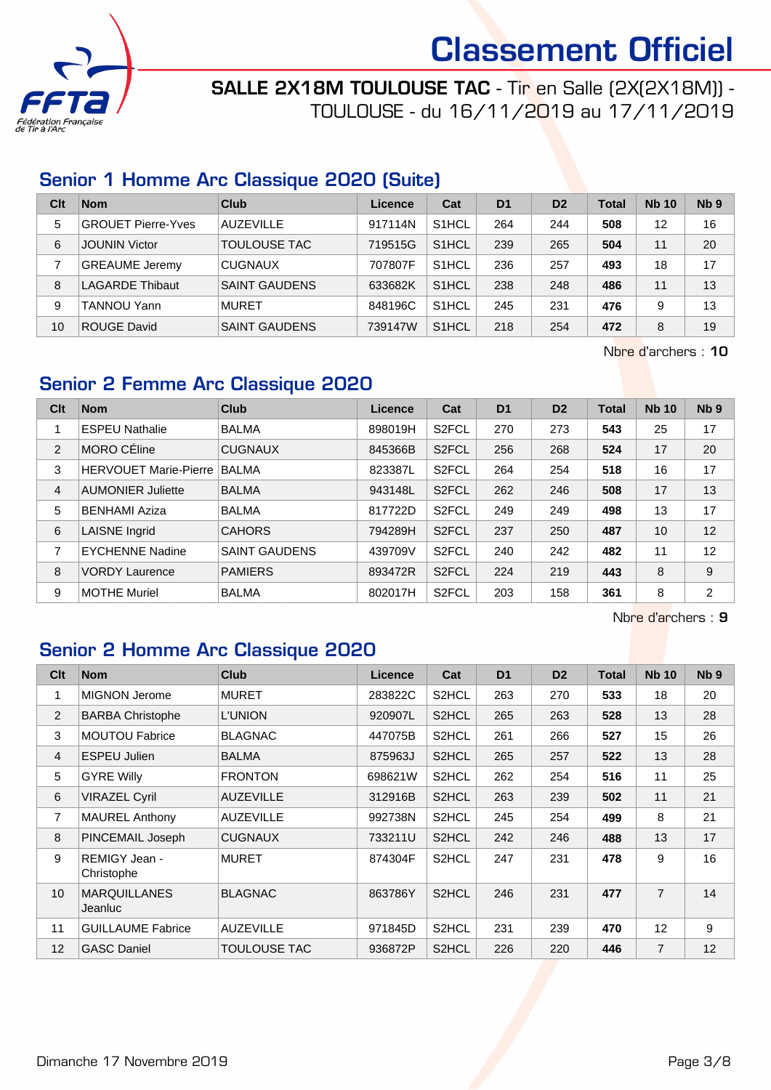

SALLE 2X18M TOULOUSE TAC - Tir en Salle (2X(2X18M)) -TOULOUSE - du 16/11/2019 au 17/11/2019

#### Senior 1 Homme Arc Classique 2020 (Suite)

| Clt | <b>Nom</b>                | Club                 | Licence | Cat                | D <sub>1</sub> | D <sub>2</sub> | Total | <b>Nb 10</b> | N <sub>b</sub> <sub>9</sub> |
|-----|---------------------------|----------------------|---------|--------------------|----------------|----------------|-------|--------------|-----------------------------|
| 5   | <b>GROUET Pierre-Yves</b> | <b>AUZEVILLE</b>     | 917114N | S <sub>1</sub> HCL | 264            | 244            | 508   | 12           | 16                          |
| 6   | <b>JOUNIN Victor</b>      | TOULOUSE TAC         | 719515G | S <sub>1</sub> HCL | 239            | 265            | 504   | 11           | 20                          |
|     | <b>GREAUME Jeremy</b>     | <b>CUGNAUX</b>       | 707807F | S <sub>1</sub> HCL | 236            | 257            | 493   | 18           | 17                          |
| 8   | <b>LAGARDE Thibaut</b>    | <b>SAINT GAUDENS</b> | 633682K | S <sub>1</sub> HCL | 238            | 248            | 486   | 11           | 13                          |
| 9   | <b>TANNOU Yann</b>        | <b>MURET</b>         | 848196C | S <sub>1</sub> HCL | 245            | 231            | 476   | 9            | 13                          |
| 10  | <b>ROUGE David</b>        | <b>SAINT GAUDENS</b> | 739147W | S <sub>1</sub> HCL | 218            | 254            | 472   | 8            | 19                          |

Nbre d'archers : 10

#### Senior 2 Femme Arc Classique 2020

| Clt | <b>Nom</b>                   | Club                 | Licence | Cat                | D <sub>1</sub> | D <sub>2</sub> | <b>Total</b> | <b>Nb 10</b> | Nb <sub>9</sub> |
|-----|------------------------------|----------------------|---------|--------------------|----------------|----------------|--------------|--------------|-----------------|
|     | <b>ESPEU Nathalie</b>        | <b>BALMA</b>         | 898019H | S <sub>2</sub> FCL | 270            | 273            | 543          | 25           | 17              |
| 2   | <b>MORO CÉline</b>           | <b>CUGNAUX</b>       | 845366B | S <sub>2</sub> FCL | 256            | 268            | 524          | 17           | 20              |
| 3   | <b>HERVOUET Marie-Pierre</b> | <b>BALMA</b>         | 823387L | S <sub>2</sub> FCL | 264            | 254            | 518          | 16           | 17              |
| 4   | <b>AUMONIER Juliette</b>     | <b>BALMA</b>         | 943148L | S <sub>2</sub> FCL | 262            | 246            | 508          | 17           | 13              |
| 5   | <b>BENHAMI Aziza</b>         | <b>BALMA</b>         | 817722D | S <sub>2</sub> FCL | 249            | 249            | 498          | 13           | 17              |
| 6   | LAISNE Ingrid                | <b>CAHORS</b>        | 794289H | S <sub>2</sub> FCL | 237            | 250            | 487          | 10           | 12              |
| 7   | <b>EYCHENNE Nadine</b>       | <b>SAINT GAUDENS</b> | 439709V | S <sub>2</sub> FCL | 240            | 242            | 482          | 11           | 12              |
| 8   | <b>VORDY Laurence</b>        | <b>PAMIERS</b>       | 893472R | S <sub>2</sub> FCL | 224            | 219            | 443          | 8            | 9               |
| 9   | <b>MOTHE Muriel</b>          | <b>BALMA</b>         | 802017H | S <sub>2</sub> FCL | 203            | 158            | 361          | 8            | $\overline{2}$  |

Nbre d'archers : 9

## Senior 2 Homme Arc Classique 2020

| Clt            | <b>Nom</b>                     | <b>Club</b>         | Licence | Cat   | D <sub>1</sub> | D <sub>2</sub> | <b>Total</b> | <b>Nb 10</b>   | N <sub>b</sub> <sub>9</sub> |
|----------------|--------------------------------|---------------------|---------|-------|----------------|----------------|--------------|----------------|-----------------------------|
| 1              | <b>MIGNON Jerome</b>           | <b>MURET</b>        | 283822C | S2HCL | 263            | 270            | 533          | 18             | 20                          |
| 2              | <b>BARBA Christophe</b>        | <b>L'UNION</b>      | 920907L | S2HCL | 265            | 263            | 528          | 13             | 28                          |
| 3              | <b>MOUTOU Fabrice</b>          | <b>BLAGNAC</b>      | 447075B | S2HCL | 261            | 266            | 527          | 15             | 26                          |
| $\overline{4}$ | <b>ESPEU Julien</b>            | <b>BALMA</b>        | 875963J | S2HCL | 265            | 257            | 522          | 13             | 28                          |
| 5              | <b>GYRE Willy</b>              | <b>FRONTON</b>      | 698621W | S2HCL | 262            | 254            | 516          | 11             | 25                          |
| 6              | <b>VIRAZEL Cyril</b>           | <b>AUZEVILLE</b>    | 312916B | S2HCL | 263            | 239            | 502          | 11             | 21                          |
| $\overline{7}$ | <b>MAUREL Anthony</b>          | <b>AUZEVILLE</b>    | 992738N | S2HCL | 245            | 254            | 499          | 8              | 21                          |
| 8              | PINCEMAIL Joseph               | <b>CUGNAUX</b>      | 733211U | S2HCL | 242            | 246            | 488          | 13             | 17                          |
| 9              | REMIGY Jean -<br>Christophe    | <b>MURET</b>        | 874304F | S2HCL | 247            | 231            | 478          | 9              | 16                          |
| 10             | <b>MARQUILLANES</b><br>Jeanluc | <b>BLAGNAC</b>      | 863786Y | S2HCL | 246            | 231            | 477          | $\overline{7}$ | 14                          |
| 11             | <b>GUILLAUME Fabrice</b>       | <b>AUZEVILLE</b>    | 971845D | S2HCL | 231            | 239            | 470          | 12             | 9                           |
| 12             | <b>GASC Daniel</b>             | <b>TOULOUSE TAC</b> | 936872P | S2HCL | 226            | 220            | 446          | $\overline{7}$ | 12                          |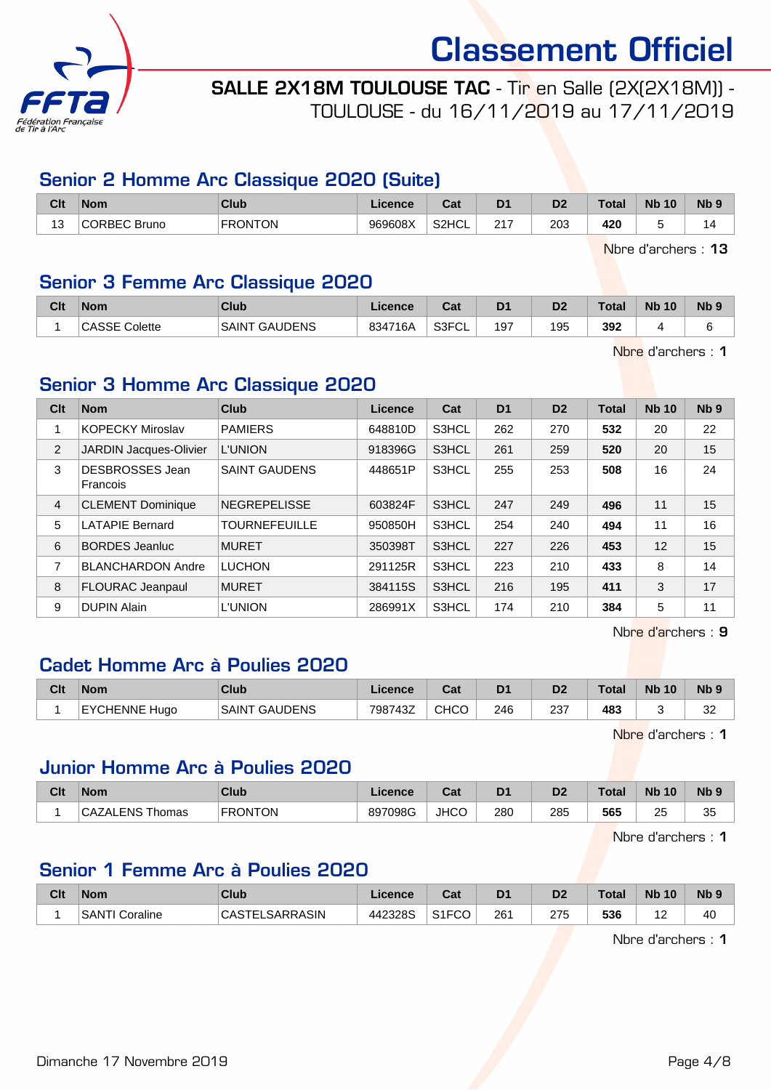

SALLE 2X18M TOULOUSE TAC - Tir en Salle (2X(2X18M)) - TOULOUSE - du 16/11/2019 au 17/11/2019

#### Senior 2 Homme Arc Classique 2020 (Suite)

| Clt    | <b>Nom</b>          | Club           | Licence | <b>r</b> ~<br>ual | D <sub>1</sub> | D <sub>2</sub> | Total     | <b>N<sub>b</sub></b><br>10 | N <sub>b</sub> <sub>9</sub> |
|--------|---------------------|----------------|---------|-------------------|----------------|----------------|-----------|----------------------------|-----------------------------|
| ៱<br>د | <b>CORBEC Bruno</b> | <b>FRONTON</b> | 969608X | S2HCL             | 247<br>2 I     | 203<br>__      | 420<br>__ |                            | $\overline{a}$              |

Nbre d'archers : 13

#### Senior 3 Femme Arc Classique 2020

| Clt | <b>Nom</b>       | <b>Club</b>                    | <sub>-</sub> icence | והיה<br>val | D <sub>1</sub> | D <sub>2</sub> | <b>Total</b> | <b>N<sub>b</sub></b><br>10 | <b>Nb</b> |
|-----|------------------|--------------------------------|---------------------|-------------|----------------|----------------|--------------|----------------------------|-----------|
|     | CASSE<br>Colette | <b>GAUDENS</b><br><b>SAINT</b> | 834716A             | S3FCL       | 197            | 195            | 392          |                            |           |

Nbre d'archers : 1

#### Senior 3 Homme Arc Classique 2020

| Clt | <b>Nom</b>                    | Club                 | <b>Licence</b> | Cat   | D <sub>1</sub> | D <sub>2</sub> | <b>Total</b> | <b>Nb 10</b> | Nb <sub>9</sub> |
|-----|-------------------------------|----------------------|----------------|-------|----------------|----------------|--------------|--------------|-----------------|
|     | <b>KOPECKY Miroslav</b>       | <b>PAMIERS</b>       | 648810D        | S3HCL | 262            | 270            | 532          | 20           | 22              |
| 2   | <b>JARDIN Jacques-Olivier</b> | <b>L'UNION</b>       | 918396G        | S3HCL | 261            | 259            | 520          | 20           | 15              |
| 3   | DESBROSSES Jean<br>Francois   | <b>SAINT GAUDENS</b> | 448651P        | S3HCL | 255            | 253            | 508          | 16           | 24              |
| 4   | <b>CLEMENT Dominique</b>      | <b>NEGREPELISSE</b>  | 603824F        | S3HCL | 247            | 249            | 496          | 11           | 15              |
| 5   | <b>LATAPIE Bernard</b>        | <b>TOURNEFEUILLE</b> | 950850H        | S3HCL | 254            | 240            | 494          | 11           | 16              |
| 6   | <b>BORDES Jeanluc</b>         | <b>MURET</b>         | 350398T        | S3HCL | 227            | 226            | 453          | 12           | 15              |
| 7   | <b>BLANCHARDON Andre</b>      | <b>LUCHON</b>        | 291125R        | S3HCL | 223            | 210            | 433          | 8            | 14              |
| 8   | <b>FLOURAC Jeanpaul</b>       | <b>MURET</b>         | 384115S        | S3HCL | 216            | 195            | 411          | 3            | 17              |
| 9   | <b>DUPIN Alain</b>            | L'UNION              | 286991X        | S3HCL | 174            | 210            | 384          | 5            | 11              |

Nbre d'archers : 9

#### Cadet Homme Arc à Poulies 2020

| Clt | <b>Nom</b>              | <b>Club</b>                   | Licence | $R_{\rm{eff}}$<br>⊍⊌ | D <sub>1</sub> | D <sub>2</sub> | Total | <b>N<sub>b</sub></b><br>10 | N <sub>b</sub> <sub>9</sub> |
|-----|-------------------------|-------------------------------|---------|----------------------|----------------|----------------|-------|----------------------------|-----------------------------|
|     | <b>EYCHENNE</b><br>Huao | <b>GAUDENS</b><br><b>SAIN</b> | 798743Z | CHCO                 | 246            | 237            | 483   |                            | n <sub>n</sub><br>ےں        |

Nbre d'archers : 1

#### Junior Homme Arc à Poulies 2020

| Clt | <b>Nom</b>      | <b>Club</b>    | Licence | <b>Table</b><br>⊍a | D <sub>1</sub> | D <sub>2</sub> | Total | <b>N<sub>b</sub></b><br>10 | N <sub>b</sub> <sub>9</sub> |
|-----|-----------------|----------------|---------|--------------------|----------------|----------------|-------|----------------------------|-----------------------------|
|     | CAZALENS Thomas | <b>FRONTON</b> | 897098G | <b>JHCC</b>        | 280            | 285            | 565   | つに<br>∼                    | つら<br>ິ                     |

Nbre d'archers : 1

#### Senior 1 Femme Arc à Poulies 2020

| Clt | <b>Nom</b>        | Club                       | Licence | Cat                | D <sub>1</sub> | D <sub>2</sub> | <b>Total</b> | <b>N<sub>b</sub></b><br>10 | N <sub>b</sub> <sub>9</sub> |
|-----|-------------------|----------------------------|---------|--------------------|----------------|----------------|--------------|----------------------------|-----------------------------|
|     | SANTI<br>Coraline | LSARRASIN<br><b>CASTE'</b> | 442328S | S <sub>1</sub> FCO | 26٬            | 275            | 536          |                            | 40                          |

Nbre d'archers : 1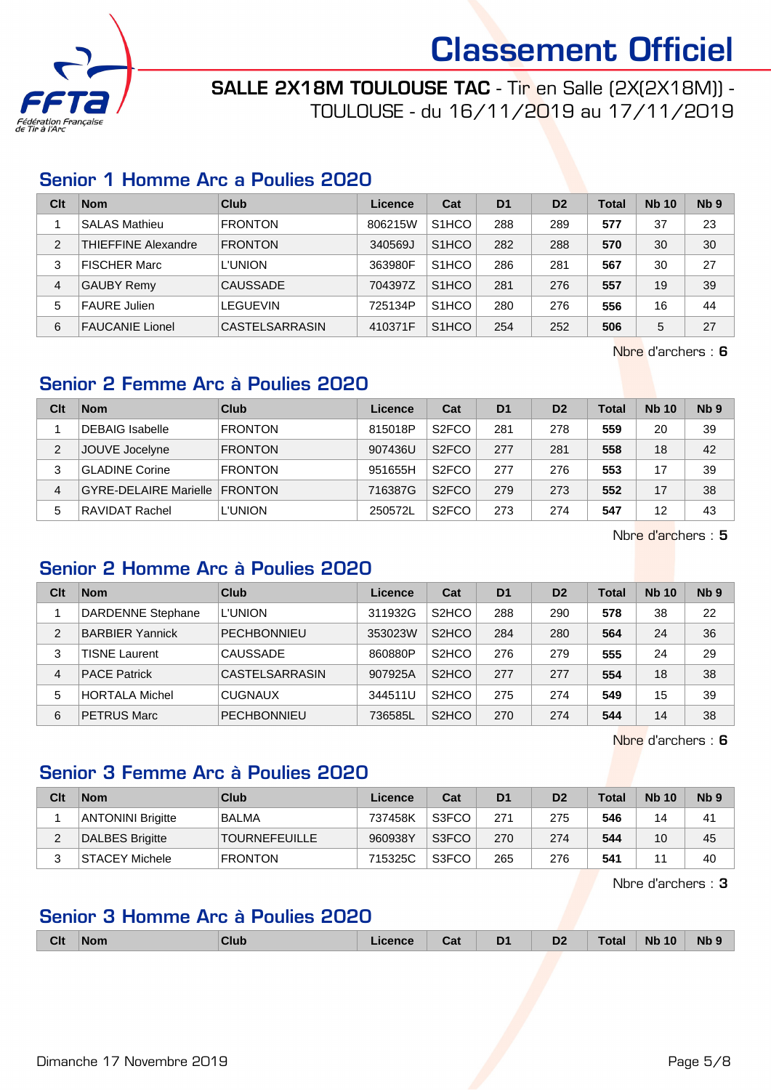

SALLE 2X18M TOULOUSE TAC - Tir en Salle (2X(2X18M)) - TOULOUSE - du 16/11/2019 au 17/11/2019

#### Senior 1 Homme Arc a Poulies 2020

| Clt            | <b>Nom</b>                 | Club            | Licence | Cat                | D <sub>1</sub> | D <sub>2</sub> | Total | <b>Nb 10</b> | Nb <sub>9</sub> |
|----------------|----------------------------|-----------------|---------|--------------------|----------------|----------------|-------|--------------|-----------------|
|                | <b>SALAS Mathieu</b>       | <b>FRONTON</b>  | 806215W | S <sub>1</sub> HCO | 288            | 289            | 577   | 37           | 23              |
| $\overline{2}$ | <b>THIEFFINE Alexandre</b> | <b>FRONTON</b>  | 340569J | S <sub>1</sub> HCO | 282            | 288            | 570   | 30           | 30              |
| 3              | <b>FISCHER Marc</b>        | <b>L'UNION</b>  | 363980F | S <sub>1</sub> HCO | 286            | 281            | 567   | 30           | 27              |
| 4              | <b>GAUBY Remy</b>          | <b>CAUSSADE</b> | 704397Z | S <sub>1</sub> HCO | 281            | 276            | 557   | 19           | 39              |
| 5              | <b>FAURE Julien</b>        | <b>LEGUEVIN</b> | 725134P | S <sub>1</sub> HCO | 280            | 276            | 556   | 16           | 44              |
| 6              | <b>FAUCANIE Lionel</b>     | CASTELSARRASIN  | 410371F | S <sub>1</sub> HCO | 254            | 252            | 506   | 5            | 27              |

Nbre d'archers : 6

#### Senior 2 Femme Arc à Poulies 2020

| Clt           | <b>Nom</b>                   | Club           | Licence | Cat                | D <sub>1</sub> | D <sub>2</sub> | Total | <b>Nb 10</b> | N <sub>b</sub> <sub>9</sub> |
|---------------|------------------------------|----------------|---------|--------------------|----------------|----------------|-------|--------------|-----------------------------|
|               | <b>DEBAIG Isabelle</b>       | <b>FRONTON</b> | 815018P | S <sub>2</sub> FCO | 281            | 278            | 559   | 20           | 39                          |
| $\mathcal{P}$ | JOUVE Jocelyne               | <b>FRONTON</b> | 907436U | S <sub>2</sub> FCO | 277            | 281            | 558   | 18           | 42                          |
| 3             | <b>GLADINE Corine</b>        | <b>FRONTON</b> | 951655H | S <sub>2</sub> FCO | 277            | 276            | 553   |              | 39                          |
| 4             | <b>GYRE-DELAIRE Marielle</b> | <b>FRONTON</b> | 716387G | S <sub>2</sub> FCO | 279            | 273            | 552   | 17           | 38                          |
| 5             | RAVIDAT Rachel               | <b>L'UNION</b> | 250572L | S <sub>2</sub> FCO | 273            | 274            | 547   | 12           | 43                          |

Nbre d'archers : 5

### Senior 2 Homme Arc à Poulies 2020

| Clt            | <b>Nom</b>               | Club               | Licence | Cat                            | D <sub>1</sub> | D <sub>2</sub> | Total | <b>Nb 10</b> | Nb <sub>9</sub> |
|----------------|--------------------------|--------------------|---------|--------------------------------|----------------|----------------|-------|--------------|-----------------|
|                | <b>DARDENNE Stephane</b> | <b>L'UNION</b>     | 311932G | S <sub>2</sub> HCO             | 288            | 290            | 578   | 38           | 22              |
| $\overline{2}$ | <b>BARBIER Yannick</b>   | <b>PECHBONNIEU</b> | 353023W | S <sub>2</sub> HCO             | 284            | 280            | 564   | 24           | 36              |
| 3              | <b>TISNE Laurent</b>     | <b>CAUSSADE</b>    | 860880P | S <sub>2</sub> HCO             | 276            | 279            | 555   | 24           | 29              |
| 4              | <b>PACE Patrick</b>      | CASTELSARRASIN     | 907925A | S <sub>2</sub> H <sub>CO</sub> | 277            | 277            | 554   | 18           | 38              |
| 5              | <b>HORTALA Michel</b>    | <b>CUGNAUX</b>     | 344511U | S <sub>2</sub> HCO             | 275            | 274            | 549   | 15           | 39              |
| 6              | <b>PETRUS Marc</b>       | <b>PECHBONNIEU</b> | 736585L | S <sub>2</sub> HCO             | 270            | 274            | 544   | 14           | 38              |

Nbre d'archers : 6

#### Senior 3 Femme Arc à Poulies 2020

| Clt | <b>Nom</b>               | Club                 | Licence | Cat   | D <sub>1</sub> | D <sub>2</sub> | <b>Total</b> | <b>Nb 10</b> | Nb <sub>9</sub> |
|-----|--------------------------|----------------------|---------|-------|----------------|----------------|--------------|--------------|-----------------|
|     | <b>ANTONINI Brigitte</b> | <b>BALMA</b>         | 737458K | S3FCO | 271            | 275            | 546          | 14           | 41              |
|     | DALBES Brigitte          | <b>TOURNEFEUILLE</b> | 960938Y | S3FCO | 270            | 274            | 544          | 10           | 45              |
|     | STACEY Michele           | <b>FRONTON</b>       | 715325C | S3FCO | 265            | 276            | 541          |              | 40              |

Nbre d'archers : 3

## Senior 3 Homme Arc à Poulies 2020

| Nb<br>ual<br>-<br>$ -$<br>.<br>- - | <b>Clt</b><br>D <sub>1</sub><br>D <sub>2</sub><br>$\sqrt{10}$<br><b>N<sub>F</sub></b><br><u>Clut.</u><br><u>Tota.</u><br><b>Nom</b><br>icence<br>. . |
|------------------------------------|------------------------------------------------------------------------------------------------------------------------------------------------------|
|------------------------------------|------------------------------------------------------------------------------------------------------------------------------------------------------|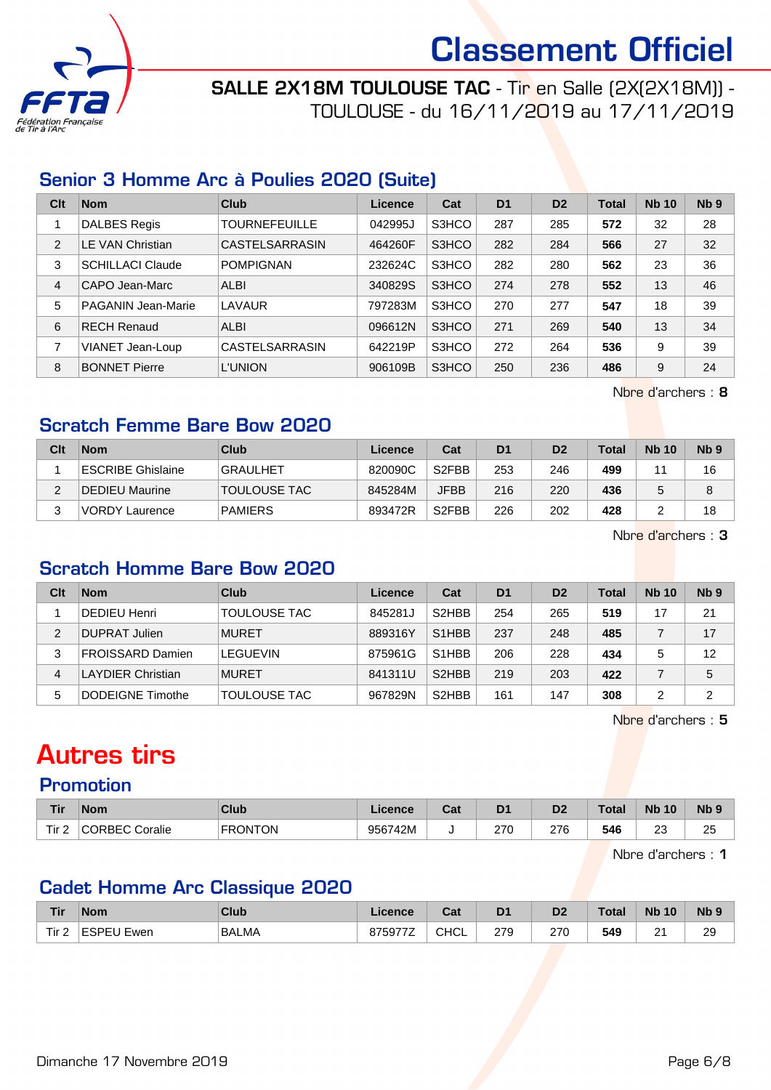

SALLE 2X18M TOULOUSE TAC - Tir en Salle (2X(2X18M)) - TOULOUSE - du 16/11/2019 au 17/11/2019

#### Senior 3 Homme Arc à Poulies 2020 (Suite)

| Clt            | <b>Nom</b>                | Club                  | Licence | Cat   | D <sub>1</sub> | D <sub>2</sub> | <b>Total</b> | <b>Nb 10</b> | Nb <sub>9</sub> |
|----------------|---------------------------|-----------------------|---------|-------|----------------|----------------|--------------|--------------|-----------------|
|                | <b>DALBES Regis</b>       | <b>TOURNEFEUILLE</b>  | 042995J | S3HCO | 287            | 285            | 572          | 32           | 28              |
| $\overline{2}$ | <b>LE VAN Christian</b>   | <b>CASTELSARRASIN</b> | 464260F | S3HCO | 282            | 284            | 566          | 27           | 32              |
| 3              | <b>SCHILLACI Claude</b>   | <b>POMPIGNAN</b>      | 232624C | S3HCO | 282            | 280            | 562          | 23           | 36              |
| 4              | CAPO Jean-Marc            | <b>ALBI</b>           | 340829S | S3HCO | 274            | 278            | 552          | 13           | 46              |
| 5              | <b>PAGANIN Jean-Marie</b> | LAVAUR                | 797283M | S3HCO | 270            | 277            | 547          | 18           | 39              |
| 6              | <b>RECH Renaud</b>        | <b>ALBI</b>           | 096612N | S3HCO | 271            | 269            | 540          | 13           | 34              |
| 7              | VIANET Jean-Loup          | CASTELSARRASIN        | 642219P | S3HCO | 272            | 264            | 536          | 9            | 39              |
| 8              | <b>BONNET Pierre</b>      | <b>L'UNION</b>        | 906109B | S3HCO | 250            | 236            | 486          | 9            | 24              |

Nbre d'archers : 8

#### Scratch Femme Bare Bow 2020

| Clt | <b>Nom</b>            | Club                | Licence | Cat                | D <sub>1</sub> | D <sub>2</sub> | Total | <b>Nb 10</b> | Nb <sub>9</sub> |
|-----|-----------------------|---------------------|---------|--------------------|----------------|----------------|-------|--------------|-----------------|
|     | ESCRIBE Ghislaine     | <b>GRAULHET</b>     | 820090C | S <sub>2</sub> FBB | 253            | 246            | 499   | 44           | 16              |
| ົ   | <b>DEDIEU Maurine</b> | <b>TOULOUSE TAC</b> | 845284M | <b>JFBB</b>        | 216            | 220            | 436   |              |                 |
| ◠   | <b>NORDY Laurence</b> | <b>PAMIERS</b>      | 893472R | S <sub>2</sub> FBB | 226            | 202            | 428   |              | 18              |

Nbre d'archers : 3

### Scratch Homme Bare Bow 2020

| Clt | <b>Nom</b>               | Club                | Licence | Cat                            | D <sub>1</sub> | D <sub>2</sub> | Total | <b>Nb 10</b> | N <sub>b</sub> 9 |
|-----|--------------------------|---------------------|---------|--------------------------------|----------------|----------------|-------|--------------|------------------|
|     | <b>DEDIEU Henri</b>      | <b>TOULOUSE TAC</b> | 845281J | S <sub>2</sub> H <sub>BB</sub> | 254            | 265            | 519   |              | 21               |
| 2   | DUPRAT Julien            | <b>MURET</b>        | 889316Y | S <sub>1</sub> H <sub>BB</sub> | 237            | 248            | 485   |              | 17               |
| 3   | <b>FROISSARD Damien</b>  | LEGUEVIN            | 875961G | S <sub>1</sub> H <sub>BB</sub> | 206            | 228            | 434   | 5            | 12               |
| 4   | <b>LAYDIER Christian</b> | <b>MURET</b>        | 841311U | S <sub>2</sub> H <sub>BB</sub> | 219            | 203            | 422   |              | 5                |
| 5   | DODEIGNE Timothe         | TOULOUSE TAC        | 967829N | S <sub>2</sub> H <sub>BB</sub> | 161            | 147            | 308   | ⌒            | 2                |

Nbre d'archers : 5

## Autres tirs

#### Promotion

| <b>Tir</b>                   | <b>Nom</b>        | Club           | icence  | ו ה<br>sal | D <sub>1</sub> | D <sub>0</sub><br>ש | F<br>Uldi | <b>Nb</b><br>10 | N <sub>b</sub> <sub>9</sub> |
|------------------------------|-------------------|----------------|---------|------------|----------------|---------------------|-----------|-----------------|-----------------------------|
| Tir <sub>2</sub><br><u>.</u> | CORRFC.<br>cralie | <b>FRONTON</b> | 956742M | u          | 270            | 276<br>__           | 546       | nr.<br>∠        | つに<br>∠∪<br>$\sim$          |

Nbre d'archers : 1

## Cadet Homme Arc Classique 2020

| <b>Tir</b> | <b>Nom</b>  | <b>Club</b>  | Licence | ◠っィ<br>val  | D <sub>1</sub> | D <sub>2</sub> | <b>Total</b> | <b>N<sub>b</sub></b><br>10 | N <sub>b</sub> <sub>9</sub> |
|------------|-------------|--------------|---------|-------------|----------------|----------------|--------------|----------------------------|-----------------------------|
| Tir.<br>_  | ESPEU Ewen! | <b>BALMA</b> | 875977Z | <b>CHCL</b> | 279            | 270            | 549          | $\sim$<br>_                | 29                          |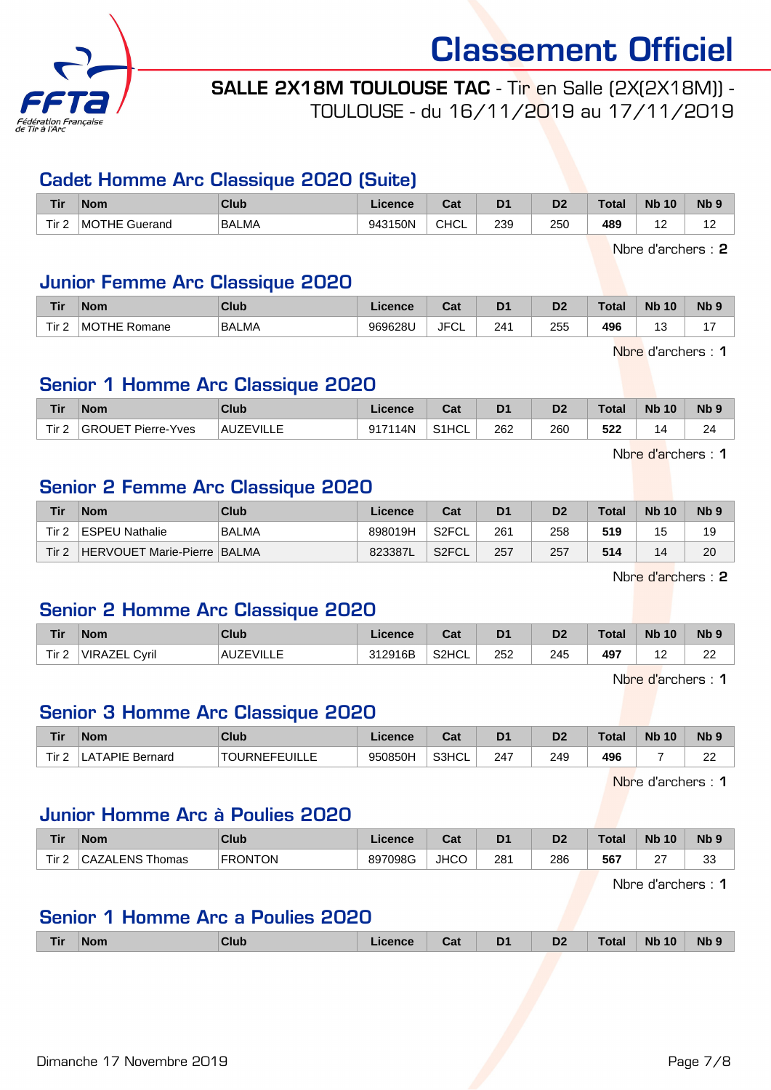

#### SALLE 2X18M TOULOUSE TAC - Tir en Salle (2X(2X18M)) - TOULOUSE - du 16/11/2019 au 17/11/2019

#### Cadet Homme Arc Classique 2020 (Suite)

| <b>Tir</b> | <b>Nom</b>    | <b>Club</b> | Licence | $R_{\rm eff}$<br>⊍d | D <sub>1</sub> | D <sub>2</sub> | Total | <b>Nb</b><br>10 | N <sub>b</sub> <sub>9</sub> |
|------------|---------------|-------------|---------|---------------------|----------------|----------------|-------|-----------------|-----------------------------|
| Tir $2$    | MOTHE Guerand | BALMA       | 943150N | <b>CHCL</b>         | 239            | 250<br>__      | 489   |                 | $\overline{ }$<br>' 4       |

Nbre d'archers : 2

#### Junior Femme Arc Classique 2020

| <b>Tir</b> | <b>Nom</b>                                   | Club         | ence:   | $R_{\rm{eff}}$<br>υαι | D <sup>1</sup> | r.<br>υz | Total | <b>N<sub>k</sub></b><br>10      | Nb <sub>9</sub> |
|------------|----------------------------------------------|--------------|---------|-----------------------|----------------|----------|-------|---------------------------------|-----------------|
| Tir 2      | $\overline{\phantom{a}}$ MOT<br>ΉE<br>Romane | <b>BALMA</b> | 969628U | <b>JFCL</b><br>$\sim$ | 241            | 255      | 496   | $\overline{a}$<br>ں ו<br>$\sim$ | . .             |

Nbre d'archers : 1

#### Senior 1 Homme Arc Classique 2020

| Tir.             | <b>Nom</b>                | <b>Club</b>      | <b>Licence</b> | ◠fi<br>val | D <sub>1</sub>       | D <sub>2</sub> | <b>Total</b> | <b>Nb 10</b> | Nb <sub>5</sub> |
|------------------|---------------------------|------------------|----------------|------------|----------------------|----------------|--------------|--------------|-----------------|
| Tir <sub>2</sub> | <b>GROUET Pierre-Yves</b> | <b>AUZEVILLE</b> | 917114N        | S1HCL      | 262<br>$\sim$ $\sim$ | 260            | 522          | д            | 24              |

Nbre d'archers : 1

#### Senior 2 Femme Arc Classique 2020

| Tir              | <b>Nom</b>                  | Club         | Licence | Cat                | D <sub>1</sub> | D <sub>2</sub> | <b>Total</b> | <b>Nb 10</b> | N <sub>b</sub> <sub>9</sub> |
|------------------|-----------------------------|--------------|---------|--------------------|----------------|----------------|--------------|--------------|-----------------------------|
| Tir <sub>2</sub> | <b>ESPEU Nathalie</b>       | <b>BALMA</b> | 898019H | S2FCL <sup>®</sup> | 261            | 258            | 519          | 15           | 19                          |
| Tir <sub>2</sub> | HERVOUET Marie-Pierre BALMA |              | 823387L | S2FCL              | 257            | 257            | 514          | 14           | 20                          |

Nbre d'archers : 2

#### Senior 2 Homme Arc Classique 2020

| <b>Tir</b>       | <b>Nom</b>              | Club             | Licence | Cat   | D <sub>1</sub> | D <sub>2</sub> | Total | <b>Nb</b><br>10 | N <sub>b</sub> <sub>9</sub> |
|------------------|-------------------------|------------------|---------|-------|----------------|----------------|-------|-----------------|-----------------------------|
| Tir <sub>2</sub> | <b>VIRAZEL</b><br>Cvril | <b>AUZEVILLE</b> | 312916B | S2HCL | 252            | 245            | 497   | . .             | $\sim$<br>∼                 |

Nbre d'archers : 1

#### Senior 3 Homme Arc Classique 2020

| Tir  | <b>Nom</b>            | <b>Club</b>                | icence  | ו ה<br>uai | D <sub>1</sub> | D2  | <b>Total</b> | <b>N<sub>b</sub></b><br>10 | <b>Nb</b>   |
|------|-----------------------|----------------------------|---------|------------|----------------|-----|--------------|----------------------------|-------------|
| Tir. | APIE-<br>Bernard<br>А | <b>TOURNEFEUL</b><br>◡╷∟∟∟ | 950850H | S3HCL      | 247            | 249 | 496          |                            | $\sim$<br>∼ |

Nbre d'archers : 1

#### Junior Homme Arc à Poulies 2020

| Tir        | <b>Nom</b>             | Club           | Licence | r.,<br>⊍a   | D <sub>1</sub> | D <sub>2</sub> | <b>Total</b> | <b>Nb 10</b> | <b>N<sub>b</sub></b> |
|------------|------------------------|----------------|---------|-------------|----------------|----------------|--------------|--------------|----------------------|
| Tir 2<br>- | <b>CAZALENS Thomas</b> | <b>FRONTON</b> | 897098G | <b>JHCO</b> | 281            | 286            | 567          | $\sim$<br>∼  | $\sim$<br>ັບ         |

Nbre d'archers : 1

#### Senior 1 Homme Arc a Poulies 2020

| Club<br><b>Tir</b><br><b>Nom</b> | _icence | Cat | D <sub>1</sub> | D <sub>2</sub> | <b>Total</b> | <b>Nb 10</b> | Nb <sub>9</sub> |
|----------------------------------|---------|-----|----------------|----------------|--------------|--------------|-----------------|
|----------------------------------|---------|-----|----------------|----------------|--------------|--------------|-----------------|